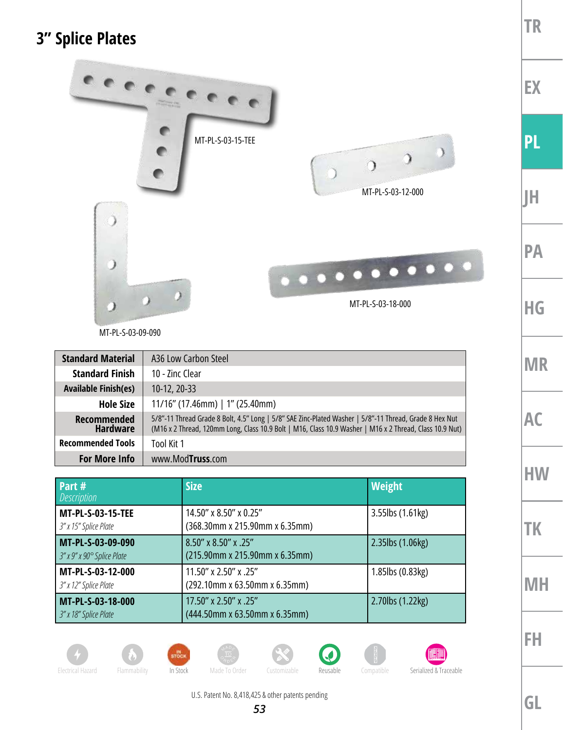## **3" Splice Plates**



MT-PL-S-03-09-090

| <b>Standard Material</b>              | A36 Low Carbon Steel                                                                                                                                                                                              |
|---------------------------------------|-------------------------------------------------------------------------------------------------------------------------------------------------------------------------------------------------------------------|
| <b>Standard Finish</b>                | 10 - Zinc Clear                                                                                                                                                                                                   |
| <b>Available Finish(es)</b>           | 10-12, 20-33                                                                                                                                                                                                      |
| <b>Hole Size</b>                      | $11/16''$ (17.46mm)   1" (25.40mm)                                                                                                                                                                                |
| <b>Recommended</b><br><b>Hardware</b> | 5/8"-11 Thread Grade 8 Bolt, 4.5" Long   5/8" SAE Zinc-Plated Washer   5/8"-11 Thread, Grade 8 Hex Nut<br>(M16 x 2 Thread, 120mm Long, Class 10.9 Bolt   M16, Class 10.9 Washer   M16 x 2 Thread, Class 10.9 Nut) |
| <b>Recommended Tools</b>              | Tool Kit 1                                                                                                                                                                                                        |
| <b>For More Info</b>                  | www.ModTruss.com                                                                                                                                                                                                  |

| Part #<br><i>Description</i>                      | <b>Size</b>                                               | Weight           |
|---------------------------------------------------|-----------------------------------------------------------|------------------|
| <b>MT-PL-S-03-15-TEE</b><br>3" x 15" Splice Plate | 14.50" x 8.50" x 0.25"<br>(368.30mm x 215.90mm x 6.35mm)  | 3.55lbs (1.61kg) |
| MT-PL-S-03-09-090<br>3" x 9" x 90° Splice Plate   | 8.50" x 8.50" x .25"<br>(215.90mm x 215.90mm x 6.35mm)    | 2.35lbs (1.06kg) |
| MT-PL-S-03-12-000<br>3" x 12" Splice Plate        | 11.50" x 2.50" x .25"<br>(292.10mm x 63.50mm x 6.35mm)    | 1.85lbs (0.83kg) |
| MT-PL-S-03-18-000<br>3" x 18" Splice Plate        | 17.50" x 2.50" x .25"<br>$(444.50$ mm x 63.50mm x 6.35mm) | 2.70lbs (1.22kg) |



**TR**













 $\overline{\mathbf{Q}}$